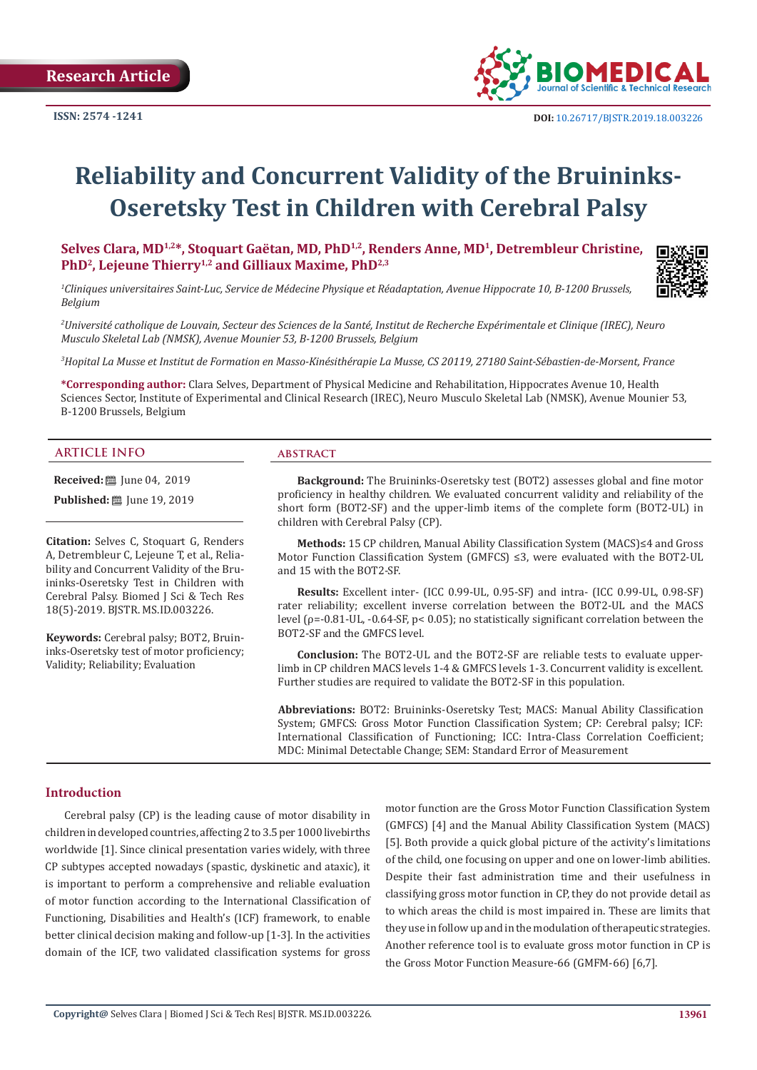**Research Article**



# **Reliability and Concurrent Validity of the Bruininks-Oseretsky Test in Children with Cerebral Palsy**

Selves Clara, MD<sup>1,2\*</sup>, Stoquart Gaëtan, MD, PhD<sup>1,2</sup>, Renders Anne, MD<sup>1</sup>, Detrembleur Christine, PhD<sup>2</sup>, Lejeune Thierry<sup>1,2</sup> and Gilliaux Maxime, PhD<sup>2,3</sup>

*1 Cliniques universitaires Saint-Luc, Service de Médecine Physique et Réadaptation, Avenue Hippocrate 10, B-1200 Brussels, Belgium*

*2 Université catholique de Louvain, Secteur des Sciences de la Santé, Institut de Recherche Expérimentale et Clinique (IREC), Neuro Musculo Skeletal Lab (NMSK), Avenue Mounier 53, B-1200 Brussels, Belgium*

*3 Hopital La Musse et Institut de Formation en Masso-Kinésithérapie La Musse, CS 20119, 27180 Saint-Sébastien-de-Morsent, France*

**\*Corresponding author:** Clara Selves, Department of Physical Medicine and Rehabilitation, Hippocrates Avenue 10, Health Sciences Sector, Institute of Experimental and Clinical Research (IREC), Neuro Musculo Skeletal Lab (NMSK), Avenue Mounier 53, B-1200 Brussels, Belgium

#### **ARTICLE INFO abstract**

**Received:** ■ June 04, 2019

**Published:** ■ June 19, 2019

**Citation:** Selves C, Stoquart G, Renders A, Detrembleur C, Lejeune T, et al., Reliability and Concurrent Validity of the Bruininks-Oseretsky Test in Children with Cerebral Palsy. Biomed J Sci & Tech Res 18(5)-2019. BJSTR. MS.ID.003226.

**Keywords:** Cerebral palsy; BOT2, Bruininks-Oseretsky test of motor proficiency; Validity; Reliability; Evaluation

**Background:** The Bruininks-Oseretsky test (BOT2) assesses global and fine motor proficiency in healthy children. We evaluated concurrent validity and reliability of the short form (BOT2-SF) and the upper-limb items of the complete form (BOT2-UL) in children with Cerebral Palsy (CP).

**Methods:** 15 CP children, Manual Ability Classification System (MACS)≤4 and Gross Motor Function Classification System (GMFCS) ≤3, were evaluated with the BOT2-UL and 15 with the BOT2-SF.

**Results:** Excellent inter- (ICC 0.99-UL, 0.95-SF) and intra- (ICC 0.99-UL, 0.98-SF) rater reliability; excellent inverse correlation between the BOT2-UL and the MACS level (ρ=-0.81-UL, -0.64-SF, p< 0.05); no statistically significant correlation between the BOT2-SF and the GMFCS level.

**Conclusion:** The BOT2-UL and the BOT2-SF are reliable tests to evaluate upperlimb in CP children MACS levels 1-4 & GMFCS levels 1-3. Concurrent validity is excellent. Further studies are required to validate the BOT2-SF in this population.

**Abbreviations:** BOT2: Bruininks-Oseretsky Test; MACS: Manual Ability Classification System; GMFCS: Gross Motor Function Classification System; CP: Cerebral palsy; ICF: International Classification of Functioning; ICC: Intra-Class Correlation Coefficient; MDC: Minimal Detectable Change; SEM: Standard Error of Measurement

#### **Introduction**

Cerebral palsy (CP) is the leading cause of motor disability in children in developed countries, affecting 2 to 3.5 per 1000 livebirths worldwide [1]. Since clinical presentation varies widely, with three CP subtypes accepted nowadays (spastic, dyskinetic and ataxic), it is important to perform a comprehensive and reliable evaluation of motor function according to the International Classification of Functioning, Disabilities and Health's (ICF) framework, to enable better clinical decision making and follow-up [1-3]. In the activities domain of the ICF, two validated classification systems for gross

motor function are the Gross Motor Function Classification System (GMFCS) [4] and the Manual Ability Classification System (MACS) [5]. Both provide a quick global picture of the activity's limitations of the child, one focusing on upper and one on lower-limb abilities. Despite their fast administration time and their usefulness in classifying gross motor function in CP, they do not provide detail as to which areas the child is most impaired in. These are limits that they use in follow up and in the modulation of therapeutic strategies. Another reference tool is to evaluate gross motor function in CP is the Gross Motor Function Measure-66 (GMFM-66) [6,7].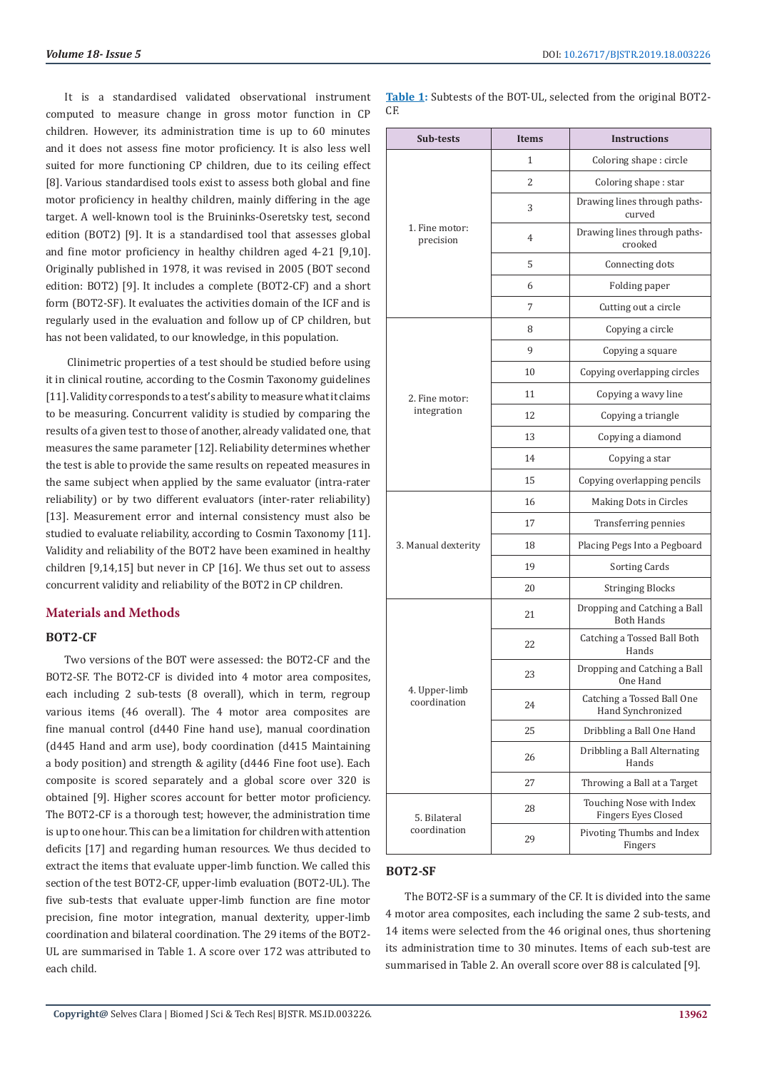It is a standardised validated observational instrument computed to measure change in gross motor function in CP children. However, its administration time is up to 60 minutes and it does not assess fine motor proficiency. It is also less well suited for more functioning CP children, due to its ceiling effect [8]. Various standardised tools exist to assess both global and fine motor proficiency in healthy children, mainly differing in the age target. A well-known tool is the Bruininks-Oseretsky test, second edition (BOT2) [9]. It is a standardised tool that assesses global and fine motor proficiency in healthy children aged 4-21 [9,10]. Originally published in 1978, it was revised in 2005 (BOT second edition: BOT2) [9]. It includes a complete (BOT2-CF) and a short form (BOT2-SF). It evaluates the activities domain of the ICF and is regularly used in the evaluation and follow up of CP children, but has not been validated, to our knowledge, in this population.

 Clinimetric properties of a test should be studied before using it in clinical routine, according to the Cosmin Taxonomy guidelines [11]. Validity corresponds to a test's ability to measure what it claims to be measuring. Concurrent validity is studied by comparing the results of a given test to those of another, already validated one, that measures the same parameter [12]. Reliability determines whether the test is able to provide the same results on repeated measures in the same subject when applied by the same evaluator (intra-rater reliability) or by two different evaluators (inter-rater reliability) [13]. Measurement error and internal consistency must also be studied to evaluate reliability, according to Cosmin Taxonomy [11]. Validity and reliability of the BOT2 have been examined in healthy children [9,14,15] but never in CP [16]. We thus set out to assess concurrent validity and reliability of the BOT2 in CP children.

#### **Materials and Methods**

#### **BOT2-CF**

Two versions of the BOT were assessed: the BOT2-CF and the BOT2-SF. The BOT2-CF is divided into 4 motor area composites, each including 2 sub-tests (8 overall), which in term, regroup various items (46 overall). The 4 motor area composites are fine manual control (d440 Fine hand use), manual coordination (d445 Hand and arm use), body coordination (d415 Maintaining a body position) and strength & agility (d446 Fine foot use). Each composite is scored separately and a global score over 320 is obtained [9]. Higher scores account for better motor proficiency. The BOT2-CF is a thorough test; however, the administration time is up to one hour. This can be a limitation for children with attention deficits [17] and regarding human resources. We thus decided to extract the items that evaluate upper-limb function. We called this section of the test BOT2-CF, upper-limb evaluation (BOT2-UL). The five sub-tests that evaluate upper-limb function are fine motor precision, fine motor integration, manual dexterity, upper-limb coordination and bilateral coordination. The 29 items of the BOT2- UL are summarised in Table 1. A score over 172 was attributed to each child.

**Table 1:** Subtests of the BOT-UL, selected from the original BOT2-  $\Gamma$ 

| Sub-tests                     | <b>Items</b> | <b>Instructions</b>                               |  |  |  |
|-------------------------------|--------------|---------------------------------------------------|--|--|--|
|                               | 1            | Coloring shape: circle                            |  |  |  |
|                               | 2            | Coloring shape: star                              |  |  |  |
|                               | 3            | Drawing lines through paths-<br>curved            |  |  |  |
| 1. Fine motor:<br>precision   | 4            | Drawing lines through paths-<br>crooked           |  |  |  |
|                               | 5            | Connecting dots                                   |  |  |  |
|                               | 6            | Folding paper                                     |  |  |  |
|                               | 7            | Cutting out a circle                              |  |  |  |
|                               | 8            | Copying a circle                                  |  |  |  |
|                               | 9            | Copying a square                                  |  |  |  |
|                               | 10           | Copying overlapping circles                       |  |  |  |
| 2. Fine motor:                | 11           | Copying a wavy line                               |  |  |  |
| integration                   | 12           | Copying a triangle                                |  |  |  |
|                               | 13           | Copying a diamond                                 |  |  |  |
|                               | 14           | Copying a star                                    |  |  |  |
|                               | 15           | Copying overlapping pencils                       |  |  |  |
|                               | 16           | Making Dots in Circles                            |  |  |  |
|                               | 17           | Transferring pennies                              |  |  |  |
| 3. Manual dexterity           | 18           | Placing Pegs Into a Pegboard                      |  |  |  |
|                               | 19           | Sorting Cards                                     |  |  |  |
|                               | 20           | Stringing Blocks                                  |  |  |  |
| 4. Upper-limb<br>coordination | 21           | Dropping and Catching a Ball<br><b>Both Hands</b> |  |  |  |
|                               | 22           | Catching a Tossed Ball Both<br>Hands              |  |  |  |
|                               | 23           | Dropping and Catching a Ball<br>One Hand          |  |  |  |
|                               | 24           | Catching a Tossed Ball One<br>Hand Synchronized   |  |  |  |
|                               | 25           | Dribbling a Ball One Hand                         |  |  |  |
|                               | 26           | Dribbling a Ball Alternating<br>Hands             |  |  |  |
|                               | 27           | Throwing a Ball at a Target                       |  |  |  |
| 5. Bilateral                  | 28           | Touching Nose with Index<br>Fingers Eyes Closed   |  |  |  |
| coordination                  | 29           | Pivoting Thumbs and Index<br>Fingers              |  |  |  |

#### **BOT2-SF**

The BOT2-SF is a summary of the CF. It is divided into the same 4 motor area composites, each including the same 2 sub-tests, and 14 items were selected from the 46 original ones, thus shortening its administration time to 30 minutes. Items of each sub-test are summarised in Table 2. An overall score over 88 is calculated [9].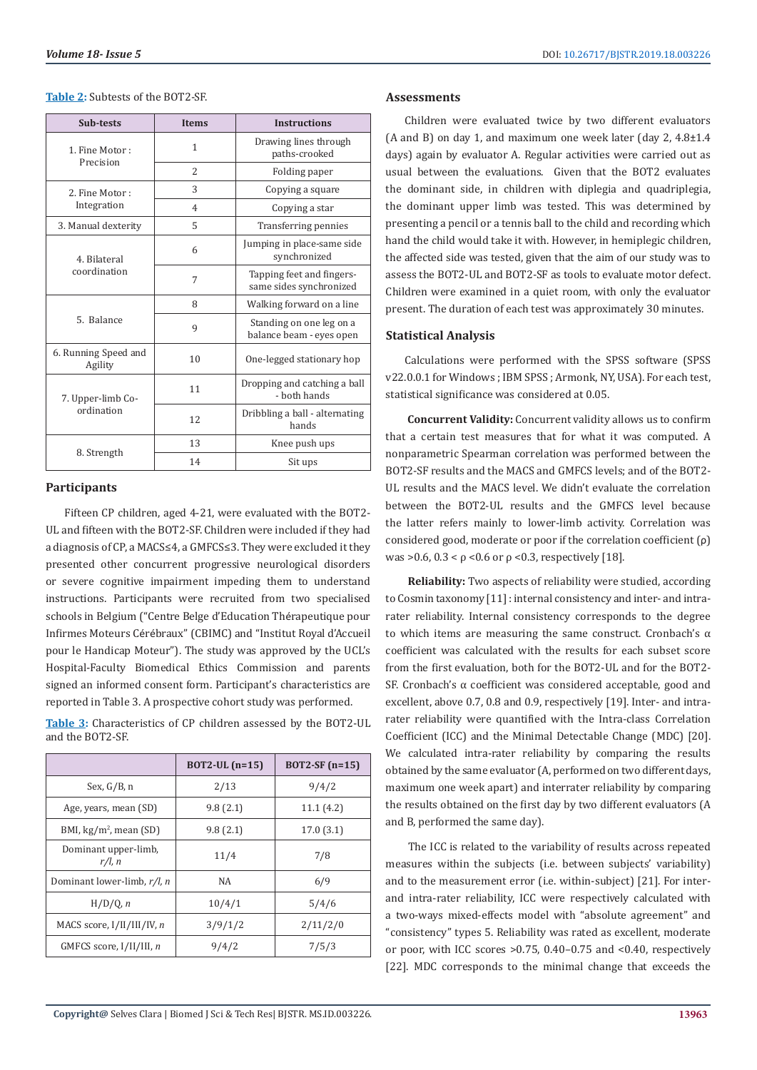#### **Table 2:** Subtests of the BOT2-SF.

| Sub-tests                       | <b>Items</b>   | <b>Instructions</b>                                  |  |  |  |
|---------------------------------|----------------|------------------------------------------------------|--|--|--|
| 1. Fine Motor:<br>Precision     | 1              | Drawing lines through<br>paths-crooked               |  |  |  |
|                                 | $\overline{2}$ | Folding paper                                        |  |  |  |
| 2. Fine Motor:                  | 3              | Copying a square                                     |  |  |  |
| Integration                     | $\overline{4}$ | Copying a star                                       |  |  |  |
| 3. Manual dexterity             | 5              | Transferring pennies                                 |  |  |  |
| 4. Bilateral<br>coordination    | 6              | Jumping in place-same side<br>synchronized           |  |  |  |
|                                 | 7              | Tapping feet and fingers-<br>same sides synchronized |  |  |  |
|                                 | 8              | Walking forward on a line                            |  |  |  |
| 5. Balance                      | 9              | Standing on one leg on a<br>balance beam - eyes open |  |  |  |
| 6. Running Speed and<br>Agility | 10             | One-legged stationary hop                            |  |  |  |
| 7. Upper-limb Co-               | 11             | Dropping and catching a ball<br>- hoth hands         |  |  |  |
| ordination                      | 12             | Dribbling a ball - alternating<br>hands              |  |  |  |
|                                 | 13             | Knee push ups                                        |  |  |  |
| 8. Strength                     | 14             | Sit ups                                              |  |  |  |

#### **Participants**

Fifteen CP children, aged 4-21, were evaluated with the BOT2- UL and fifteen with the BOT2-SF. Children were included if they had a diagnosis of CP, a MACS≤4, a GMFCS≤3. They were excluded it they presented other concurrent progressive neurological disorders or severe cognitive impairment impeding them to understand instructions. Participants were recruited from two specialised schools in Belgium ("Centre Belge d'Education Thérapeutique pour Infirmes Moteurs Cérébraux" (CBIMC) and "Institut Royal d'Accueil pour le Handicap Moteur"). The study was approved by the UCL's Hospital-Faculty Biomedical Ethics Commission and parents signed an informed consent form. Participant's characteristics are reported in Table 3. A prospective cohort study was performed.

**Table 3:** Characteristics of CP children assessed by the BOT2-UL and the BOT2-SF.

|                                   | $BOT2-UL(n=15)$ | $BOT2-SF(n=15)$ |  |  |
|-----------------------------------|-----------------|-----------------|--|--|
| Sex, $G/B$ , n                    | 2/13            | 9/4/2           |  |  |
| Age, years, mean (SD)             | 9.8(2.1)        | 11.1(4.2)       |  |  |
| BMI, $\text{kg/m}^2$ , mean (SD)  | 9.8(2.1)        | 17.0(3.1)       |  |  |
| Dominant upper-limb,<br>$r/l$ , n | 11/4            | 7/8             |  |  |
| Dominant lower-limb, r/l, n       | <b>NA</b>       | 6/9             |  |  |
| H/D/0, n                          | 10/4/1          | 5/4/6           |  |  |
| MACS score, I/II/III/IV, n        | 3/9/1/2         | 2/11/2/0        |  |  |
| GMFCS score, I/II/III, n          | 9/4/2           | 7/5/3           |  |  |

#### **Assessments**

Children were evaluated twice by two different evaluators (A and B) on day 1, and maximum one week later (day 2, 4.8±1.4 days) again by evaluator A. Regular activities were carried out as usual between the evaluations. Given that the BOT2 evaluates the dominant side, in children with diplegia and quadriplegia, the dominant upper limb was tested. This was determined by presenting a pencil or a tennis ball to the child and recording which hand the child would take it with. However, in hemiplegic children, the affected side was tested, given that the aim of our study was to assess the BOT2-UL and BOT2-SF as tools to evaluate motor defect. Children were examined in a quiet room, with only the evaluator present. The duration of each test was approximately 30 minutes.

#### **Statistical Analysis**

Calculations were performed with the SPSS software (SPSS v22.0.0.1 for Windows ; IBM SPSS ; Armonk, NY, USA). For each test, statistical significance was considered at 0.05.

**Concurrent Validity:** Concurrent validity allows us to confirm that a certain test measures that for what it was computed. A nonparametric Spearman correlation was performed between the BOT2-SF results and the MACS and GMFCS levels; and of the BOT2- UL results and the MACS level. We didn't evaluate the correlation between the BOT2-UL results and the GMFCS level because the latter refers mainly to lower-limb activity. Correlation was considered good, moderate or poor if the correlation coefficient (ρ) was >0.6,  $0.3 < p < 0.6$  or  $ρ < 0.3$ , respectively [18].

**Reliability:** Two aspects of reliability were studied, according to Cosmin taxonomy [11] : internal consistency and inter- and intrarater reliability. Internal consistency corresponds to the degree to which items are measuring the same construct. Cronbach's α coefficient was calculated with the results for each subset score from the first evaluation, both for the BOT2-UL and for the BOT2- SF. Cronbach's α coefficient was considered acceptable, good and excellent, above 0.7, 0.8 and 0.9, respectively [19]. Inter- and intrarater reliability were quantified with the Intra-class Correlation Coefficient (ICC) and the Minimal Detectable Change (MDC) [20]. We calculated intra-rater reliability by comparing the results obtained by the same evaluator (A, performed on two different days, maximum one week apart) and interrater reliability by comparing the results obtained on the first day by two different evaluators (A and B, performed the same day).

 The ICC is related to the variability of results across repeated measures within the subjects (i.e. between subjects' variability) and to the measurement error (i.e. within-subject) [21]. For interand intra-rater reliability, ICC were respectively calculated with a two-ways mixed-effects model with "absolute agreement" and "consistency" types 5. Reliability was rated as excellent, moderate or poor, with ICC scores >0.75, 0.40–0.75 and <0.40, respectively [22]. MDC corresponds to the minimal change that exceeds the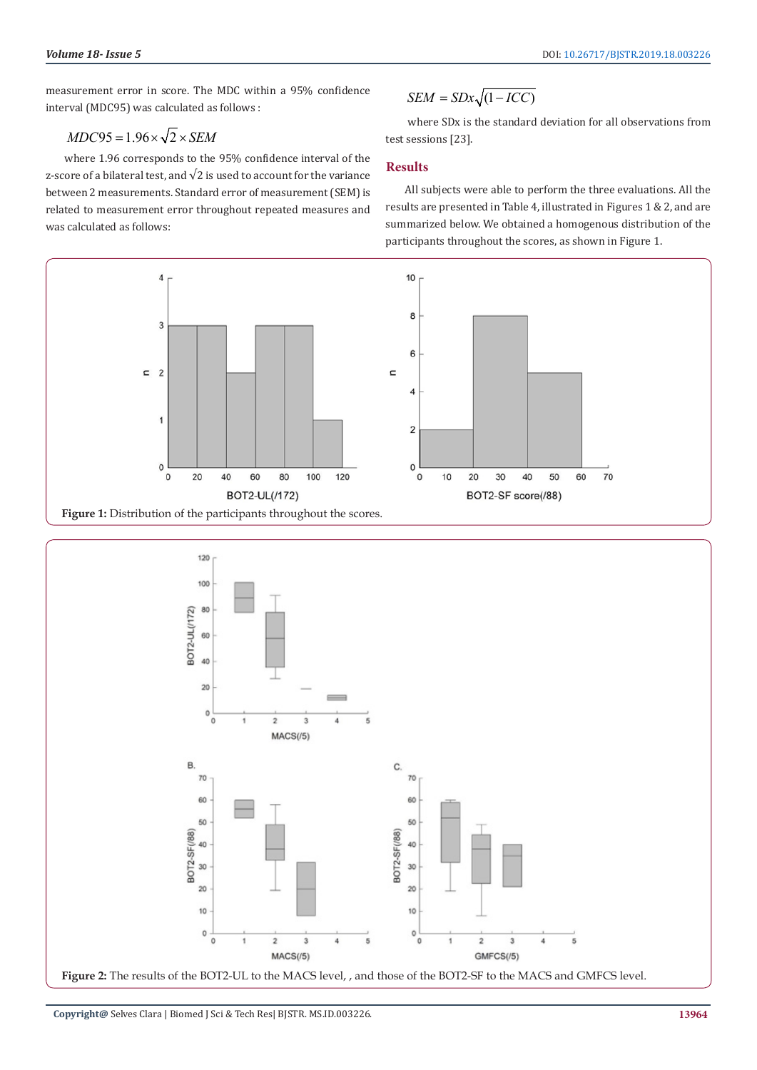measurement error in score. The MDC within a 95% confidence interval (MDC95) was calculated as follows :

## $MDC95 = 1.96 \times \sqrt{2} \times SEM$

where 1.96 corresponds to the 95% confidence interval of the z-score of a bilateral test, and  $\sqrt{2}$  is used to account for the variance between 2 measurements. Standard error of measurement (SEM) is related to measurement error throughout repeated measures and was calculated as follows:

$$
SEM = SDx\sqrt{(1 - ICC)}
$$

 where SDx is the standard deviation for all observations from test sessions [23].

#### **Results**

All subjects were able to perform the three evaluations. All the results are presented in Table 4, illustrated in Figures 1 & 2, and are summarized below. We obtained a homogenous distribution of the participants throughout the scores, as shown in Figure 1.



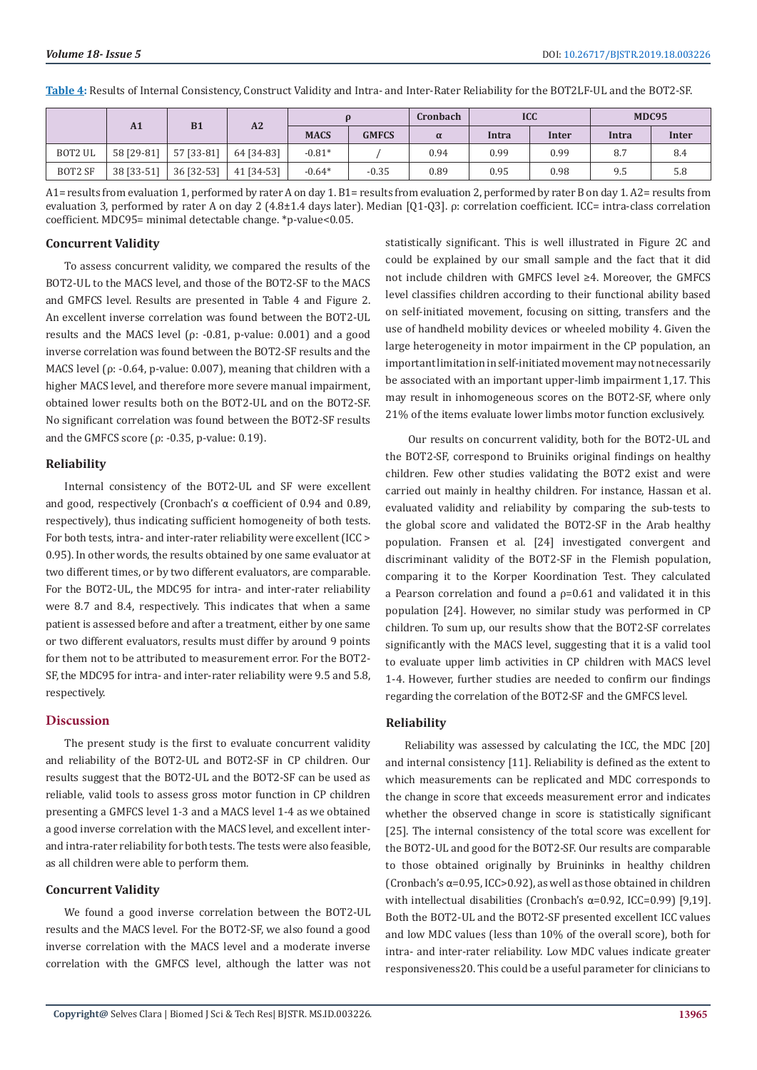**Table 4:** Results of Internal Consistency, Construct Validity and Intra- and Inter-Rater Reliability for the BOT2LF-UL and the BOT2-SF.

|                | <b>B1</b><br>A1 |            | A2         |             |              | Cronbach | <b>ICC</b> |       | <b>MDC95</b> |       |
|----------------|-----------------|------------|------------|-------------|--------------|----------|------------|-------|--------------|-------|
|                |                 |            |            | <b>MACS</b> | <b>GMFCS</b> | $\alpha$ | Intra      | Inter | Intra        | Inter |
| BOT2 UL        | 58 [29-81]      | 57 [33-81] | 64 [34-83] | $-0.81*$    |              | 0.94     | 0.99       | 0.99  | 8.7          | 8.4   |
| <b>BOT2 SF</b> | 38 [33-51]      | 36 [32-53] | 41 [34-53] | $-0.64*$    | $-0.35$      | 0.89     | 0.95       | 0.98  | 9.5          | 5.8   |

A1= results from evaluation 1, performed by rater A on day 1. B1= results from evaluation 2, performed by rater B on day 1. A2= results from evaluation 3, performed by rater A on day 2 (4.8±1.4 days later). Median [Q1-Q3]. ρ: correlation coefficient. ICC= intra-class correlation coefficient. MDC95= minimal detectable change. \*p-value<0.05.

#### **Concurrent Validity**

To assess concurrent validity, we compared the results of the BOT2-UL to the MACS level, and those of the BOT2-SF to the MACS and GMFCS level. Results are presented in Table 4 and Figure 2. An excellent inverse correlation was found between the BOT2-UL results and the MACS level (ρ: -0.81, p-value: 0.001) and a good inverse correlation was found between the BOT2-SF results and the MACS level ( $\rho$ : -0.64, p-value: 0.007), meaning that children with a higher MACS level, and therefore more severe manual impairment, obtained lower results both on the BOT2-UL and on the BOT2-SF. No significant correlation was found between the BOT2-SF results and the GMFCS score ( $ρ$ : -0.35, p-value: 0.19).

#### **Reliability**

Internal consistency of the BOT2-UL and SF were excellent and good, respectively (Cronbach's α coefficient of 0.94 and 0.89, respectively), thus indicating sufficient homogeneity of both tests. For both tests, intra- and inter-rater reliability were excellent (ICC > 0.95). In other words, the results obtained by one same evaluator at two different times, or by two different evaluators, are comparable. For the BOT2-UL, the MDC95 for intra- and inter-rater reliability were 8.7 and 8.4, respectively. This indicates that when a same patient is assessed before and after a treatment, either by one same or two different evaluators, results must differ by around 9 points for them not to be attributed to measurement error. For the BOT2- SF, the MDC95 for intra- and inter-rater reliability were 9.5 and 5.8, respectively.

### **Discussion**

The present study is the first to evaluate concurrent validity and reliability of the BOT2-UL and BOT2-SF in CP children. Our results suggest that the BOT2-UL and the BOT2-SF can be used as reliable, valid tools to assess gross motor function in CP children presenting a GMFCS level 1-3 and a MACS level 1-4 as we obtained a good inverse correlation with the MACS level, and excellent interand intra-rater reliability for both tests. The tests were also feasible, as all children were able to perform them.

#### **Concurrent Validity**

We found a good inverse correlation between the BOT2-UL results and the MACS level. For the BOT2-SF, we also found a good inverse correlation with the MACS level and a moderate inverse correlation with the GMFCS level, although the latter was not

statistically significant. This is well illustrated in Figure 2C and could be explained by our small sample and the fact that it did not include children with GMFCS level ≥4. Moreover, the GMFCS level classifies children according to their functional ability based on self-initiated movement, focusing on sitting, transfers and the use of handheld mobility devices or wheeled mobility 4. Given the large heterogeneity in motor impairment in the CP population, an important limitation in self-initiated movement may not necessarily be associated with an important upper-limb impairment 1,17. This may result in inhomogeneous scores on the BOT2-SF, where only 21% of the items evaluate lower limbs motor function exclusively.

 Our results on concurrent validity, both for the BOT2-UL and the BOT2-SF, correspond to Bruiniks original findings on healthy children. Few other studies validating the BOT2 exist and were carried out mainly in healthy children. For instance, Hassan et al. evaluated validity and reliability by comparing the sub-tests to the global score and validated the BOT2-SF in the Arab healthy population. Fransen et al. [24] investigated convergent and discriminant validity of the BOT2-SF in the Flemish population, comparing it to the Korper Koordination Test. They calculated a Pearson correlation and found a  $p=0.61$  and validated it in this population [24]. However, no similar study was performed in CP children. To sum up, our results show that the BOT2-SF correlates significantly with the MACS level, suggesting that it is a valid tool to evaluate upper limb activities in CP children with MACS level 1-4. However, further studies are needed to confirm our findings regarding the correlation of the BOT2-SF and the GMFCS level.

#### **Reliability**

Reliability was assessed by calculating the ICC, the MDC [20] and internal consistency [11]. Reliability is defined as the extent to which measurements can be replicated and MDC corresponds to the change in score that exceeds measurement error and indicates whether the observed change in score is statistically significant [25]. The internal consistency of the total score was excellent for the BOT2-UL and good for the BOT2-SF. Our results are comparable to those obtained originally by Bruininks in healthy children (Cronbach's α=0.95, ICC>0.92), as well as those obtained in children with intellectual disabilities (Cronbach's  $\alpha$ =0.92, ICC=0.99) [9,19]. Both the BOT2-UL and the BOT2-SF presented excellent ICC values and low MDC values (less than 10% of the overall score), both for intra- and inter-rater reliability. Low MDC values indicate greater responsiveness20. This could be a useful parameter for clinicians to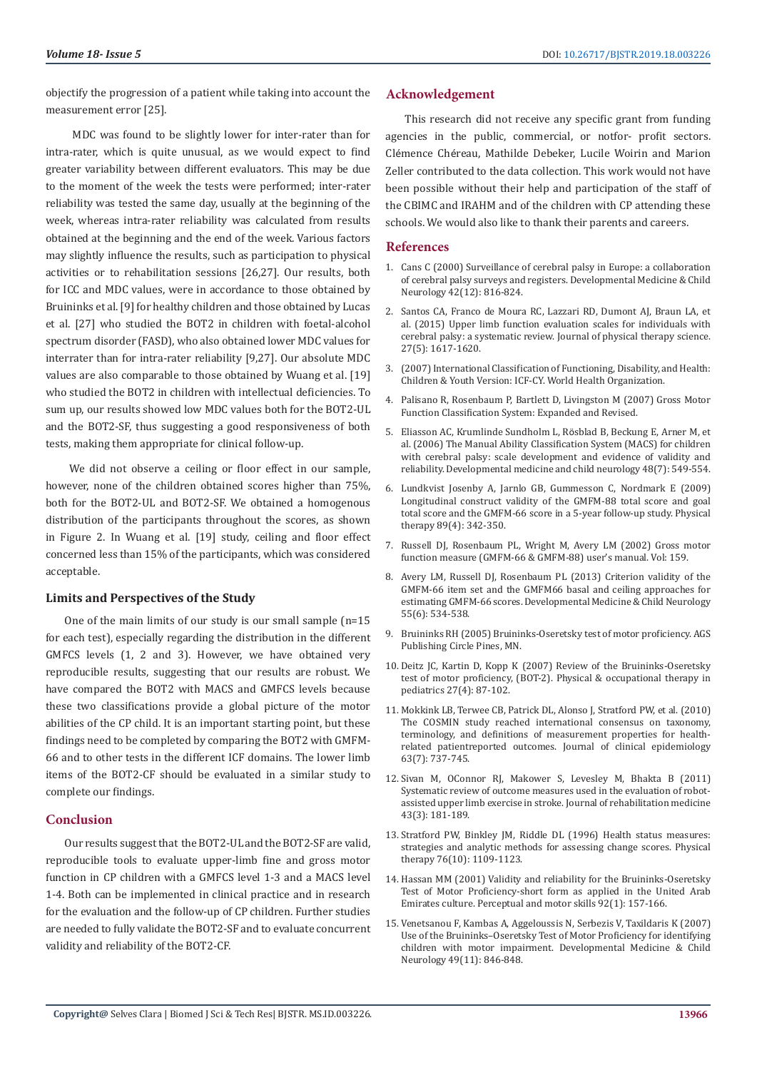objectify the progression of a patient while taking into account the measurement error [25].

 MDC was found to be slightly lower for inter-rater than for intra-rater, which is quite unusual, as we would expect to find greater variability between different evaluators. This may be due to the moment of the week the tests were performed; inter-rater reliability was tested the same day, usually at the beginning of the week, whereas intra-rater reliability was calculated from results obtained at the beginning and the end of the week. Various factors may slightly influence the results, such as participation to physical activities or to rehabilitation sessions [26,27]. Our results, both for ICC and MDC values, were in accordance to those obtained by Bruininks et al. [9] for healthy children and those obtained by Lucas et al. [27] who studied the BOT2 in children with foetal-alcohol spectrum disorder (FASD), who also obtained lower MDC values for interrater than for intra-rater reliability [9,27]. Our absolute MDC values are also comparable to those obtained by Wuang et al. [19] who studied the BOT2 in children with intellectual deficiencies. To sum up, our results showed low MDC values both for the BOT2-UL and the BOT2-SF, thus suggesting a good responsiveness of both tests, making them appropriate for clinical follow-up.

 We did not observe a ceiling or floor effect in our sample, however, none of the children obtained scores higher than 75%, both for the BOT2-UL and BOT2-SF. We obtained a homogenous distribution of the participants throughout the scores, as shown in Figure 2. In Wuang et al. [19] study, ceiling and floor effect concerned less than 15% of the participants, which was considered acceptable.

#### **Limits and Perspectives of the Study**

One of the main limits of our study is our small sample (n=15 for each test), especially regarding the distribution in the different GMFCS levels (1, 2 and 3). However, we have obtained very reproducible results, suggesting that our results are robust. We have compared the BOT2 with MACS and GMFCS levels because these two classifications provide a global picture of the motor abilities of the CP child. It is an important starting point, but these findings need to be completed by comparing the BOT2 with GMFM-66 and to other tests in the different ICF domains. The lower limb items of the BOT2-CF should be evaluated in a similar study to complete our findings.

#### **Conclusion**

Our results suggest that the BOT2-UL and the BOT2-SF are valid, reproducible tools to evaluate upper-limb fine and gross motor function in CP children with a GMFCS level 1-3 and a MACS level 1-4. Both can be implemented in clinical practice and in research for the evaluation and the follow-up of CP children. Further studies are needed to fully validate the BOT2-SF and to evaluate concurrent validity and reliability of the BOT2-CF.

#### **Acknowledgement**

This research did not receive any specific grant from funding agencies in the public, commercial, or notfor- profit sectors. Clémence Chéreau, Mathilde Debeker, Lucile Woirin and Marion Zeller contributed to the data collection. This work would not have been possible without their help and participation of the staff of the CBIMC and IRAHM and of the children with CP attending these schools. We would also like to thank their parents and careers.

#### **References**

- 1. [Cans C \(2000\) Surveillance of cerebral palsy in Europe: a collaboration](https://www.ncbi.nlm.nih.gov/pubmed/11132255) [of cerebral palsy surveys and registers. Developmental Medicine & Child](https://www.ncbi.nlm.nih.gov/pubmed/11132255) [Neurology 42\(12\): 816-824.](https://www.ncbi.nlm.nih.gov/pubmed/11132255)
- 2. [Santos CA, Franco de Moura RC, Lazzari RD, Dumont AJ, Braun LA, et](https://www.ncbi.nlm.nih.gov/pubmed/26157275) [al. \(2015\) Upper limb function evaluation scales for individuals with](https://www.ncbi.nlm.nih.gov/pubmed/26157275) [cerebral palsy: a systematic review. Journal of physical therapy science.](https://www.ncbi.nlm.nih.gov/pubmed/26157275) [27\(5\): 1617-1620.](https://www.ncbi.nlm.nih.gov/pubmed/26157275)
- 3. [\(2007\) International Classification of Functioning, Disability, and Health:](https://apps.who.int/iris/bitstream/handle/10665/43737/9789241547321_eng.pdf;jsessionid=DA503539B8EE4D5128950CBC7275D583?sequence=1) [Children & Youth Version: ICF-CY. World Health Organization.](https://apps.who.int/iris/bitstream/handle/10665/43737/9789241547321_eng.pdf;jsessionid=DA503539B8EE4D5128950CBC7275D583?sequence=1)
- 4. Palisano R, Rosenbaum P, Bartlett D, Livingston M (2007) Gross Motor Function Classification System: Expanded and Revised.
- 5. [Eliasson AC, Krumlinde Sundholm L, R](https://www.ncbi.nlm.nih.gov/pubmed/16780622)ösblad B, Beckung E, Arner M, et [al. \(2006\) The Manual Ability Classification System \(MACS\) for children](https://www.ncbi.nlm.nih.gov/pubmed/16780622) [with cerebral palsy: scale development and evidence of validity and](https://www.ncbi.nlm.nih.gov/pubmed/16780622) [reliability. Developmental medicine and child neurology 48\(7\): 549-554.](https://www.ncbi.nlm.nih.gov/pubmed/16780622)
- 6. [Lundkvist Josenby A, Jarnlo GB, Gummesson C, Nordmark E \(2009\)](https://www.ncbi.nlm.nih.gov/pubmed/19220999) [Longitudinal construct validity of the GMFM-88 total score and goal](https://www.ncbi.nlm.nih.gov/pubmed/19220999) [total score and the GMFM-66 score in a 5-year follow-up study. Physical](https://www.ncbi.nlm.nih.gov/pubmed/19220999) [therapy 89\(4\): 342-350.](https://www.ncbi.nlm.nih.gov/pubmed/19220999)
- 7. Russell DJ, Rosenbaum PL, Wright M, Avery LM (2002) Gross motor function measure (GMFM-66 & GMFM-88) user's manual. Vol: 159.
- 8. [Avery LM, Russell DJ, Rosenbaum PL \(2013\) Criterion validity of the](https://www.ncbi.nlm.nih.gov/pubmed/23448693) [GMFM-66 item set and the GMFM66 basal and ceiling approaches for](https://www.ncbi.nlm.nih.gov/pubmed/23448693) [estimating GMFM-66 scores. Developmental Medicine & Child Neurology](https://www.ncbi.nlm.nih.gov/pubmed/23448693) [55\(6\): 534-538.](https://www.ncbi.nlm.nih.gov/pubmed/23448693)
- 9. Bruininks RH (2005) Bruininks-Oseretsky test of motor proficiency. AGS Publishing Circle Pines, MN.
- 10. [Deitz JC, Kartin D, Kopp K \(2007\) Review of the Bruininks-Oseretsky](https://www.ncbi.nlm.nih.gov/pubmed/18032151) [test of motor proficiency, \(BOT-2\). Physical & occupational therapy in](https://www.ncbi.nlm.nih.gov/pubmed/18032151) [pediatrics 27\(4\): 87-102.](https://www.ncbi.nlm.nih.gov/pubmed/18032151)
- 11. [Mokkink LB, Terwee CB, Patrick DL, Alonso J, Stratford PW, et al. \(2010\)](https://www.ncbi.nlm.nih.gov/pubmed/20494804) [The COSMIN study reached international consensus on taxonomy,](https://www.ncbi.nlm.nih.gov/pubmed/20494804) [terminology, and definitions of measurement properties for health](https://www.ncbi.nlm.nih.gov/pubmed/20494804)[related patientreported outcomes. Journal of clinical epidemiology](https://www.ncbi.nlm.nih.gov/pubmed/20494804) [63\(7\): 737-745.](https://www.ncbi.nlm.nih.gov/pubmed/20494804)
- 12. [Sivan M, OConnor RJ, Makower S, Levesley M, Bhakta B \(2011\)](https://www.ncbi.nlm.nih.gov/pubmed/21305232) [Systematic review of outcome measures used in the evaluation of robot](https://www.ncbi.nlm.nih.gov/pubmed/21305232)[assisted upper limb exercise in stroke. Journal of rehabilitation medicine](https://www.ncbi.nlm.nih.gov/pubmed/21305232) [43\(3\): 181-189.](https://www.ncbi.nlm.nih.gov/pubmed/21305232)
- 13. [Stratford PW, Binkley JM, Riddle DL \(1996\) Health status measures:](https://www.ncbi.nlm.nih.gov/pubmed/8863764) [strategies and analytic methods for assessing change scores. Physical](https://www.ncbi.nlm.nih.gov/pubmed/8863764) [therapy 76\(10\): 1109-1123.](https://www.ncbi.nlm.nih.gov/pubmed/8863764)
- 14. [Hassan MM \(2001\) Validity and reliability for the Bruininks-Oseretsky](https://www.ncbi.nlm.nih.gov/pubmed/11322581) [Test of Motor Proficiency-short form as applied in the United Arab](https://www.ncbi.nlm.nih.gov/pubmed/11322581) [Emirates culture. Perceptual and motor skills 92\(1\): 157-166.](https://www.ncbi.nlm.nih.gov/pubmed/11322581)
- 15. [Venetsanou F, Kambas A, Aggeloussis N, Serbezis V, Taxildaris K \(2007\)](https://www.ncbi.nlm.nih.gov/pubmed/17979863) [Use of the Bruininks–Oseretsky Test of Motor Proficiency for identifying](https://www.ncbi.nlm.nih.gov/pubmed/17979863) [children with motor impairment. Developmental Medicine & Child](https://www.ncbi.nlm.nih.gov/pubmed/17979863) [Neurology 49\(11\): 846-848.](https://www.ncbi.nlm.nih.gov/pubmed/17979863)